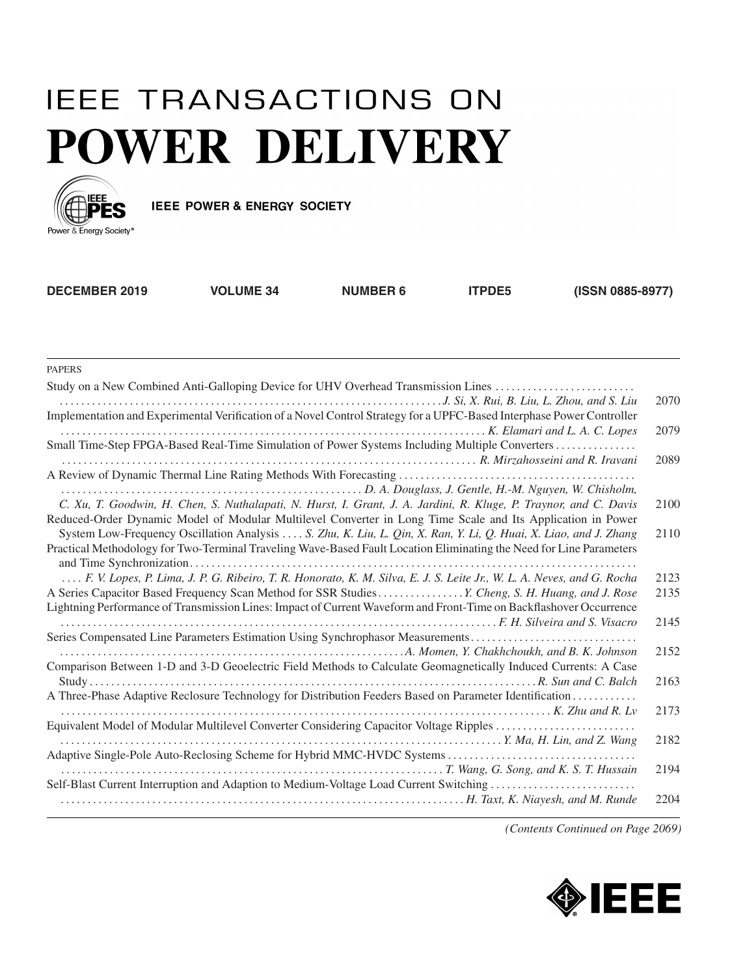## **IEEE TRANSACTIONS ON POWER DELIVERY**



IEEE POWER & ENERGY SOCIETY

| <b>DECEMBER 2019</b> | <b>VOLUME 34</b> | <b>NUMBER 6</b> | <b>ITPDE5</b> | (ISSN 0885-8977) |
|----------------------|------------------|-----------------|---------------|------------------|
|                      |                  |                 |               |                  |

PAPERS

| Study on a New Combined Anti-Galloping Device for UHV Overhead Transmission Lines                                      |      |
|------------------------------------------------------------------------------------------------------------------------|------|
|                                                                                                                        | 2070 |
| Implementation and Experimental Verification of a Novel Control Strategy for a UPFC-Based Interphase Power Controller  |      |
|                                                                                                                        | 2079 |
| Small Time-Step FPGA-Based Real-Time Simulation of Power Systems Including Multiple Converters                         |      |
| R. Mirzahosseini and R. Iravani                                                                                        | 2089 |
|                                                                                                                        |      |
| D. A. Douglass, J. Gentle, H.-M. Nguyen, W. Chisholm,  (Wishelm, L. A. Douglass, J. Gentle, H.-M. Nguyen, W. Chisholm, |      |
| C. Xu, T. Goodwin, H. Chen, S. Nuthalapati, N. Hurst, I. Grant, J. A. Jardini, R. Kluge, P. Traynor, and C. Davis      | 2100 |
| Reduced-Order Dynamic Model of Modular Multilevel Converter in Long Time Scale and Its Application in Power            |      |
| System Low-Frequency Oscillation Analysis  . S. Zhu, K. Liu, L. Qin, X. Ran, Y. Li, Q. Huai, X. Liao, and J. Zhang     | 2110 |
| Practical Methodology for Two-Terminal Traveling Wave-Based Fault Location Eliminating the Need for Line Parameters    |      |
|                                                                                                                        |      |
| F. V. Lopes, P. Lima, J. P. G. Ribeiro, T. R. Honorato, K. M. Silva, E. J. S. Leite Jr., W. L. A. Neves, and G. Rocha  | 2123 |
| A Series Capacitor Based Frequency Scan Method for SSR Studies  Y. Cheng, S. H. Huang, and J. Rose                     | 2135 |
| Lightning Performance of Transmission Lines: Impact of Current Waveform and Front-Time on Backflashover Occurrence     |      |
|                                                                                                                        | 2145 |
| Series Compensated Line Parameters Estimation Using Synchrophasor Measurements                                         |      |
|                                                                                                                        | 2152 |
| Comparison Between 1-D and 3-D Geoelectric Field Methods to Calculate Geomagnetically Induced Currents: A Case         |      |
|                                                                                                                        | 2163 |
| A Three-Phase Adaptive Reclosure Technology for Distribution Feeders Based on Parameter Identification                 |      |
| $\ldots \ldots \ldots \ldots \ldots \ldots \ldots \ldots$ . K. Zhu and R. Lv                                           | 2173 |
| Equivalent Model of Modular Multilevel Converter Considering Capacitor Voltage Ripples                                 |      |
|                                                                                                                        | 2182 |
|                                                                                                                        |      |
|                                                                                                                        | 2194 |
| Self-Blast Current Interruption and Adaption to Medium-Voltage Load Current Switching                                  |      |
|                                                                                                                        | 2204 |
|                                                                                                                        |      |

*(Contents Continued on Page 2069)*